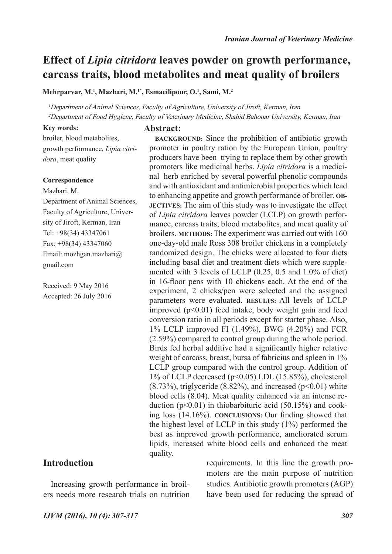# **Effect of** *Lipia citridora* **leaves powder on growth performance, carcass traits, blood metabolites and meat quality of broilers**

**Mehrparvar, M.1 , Mazhari, M.1\*, Esmaeilipour, O.1 , Sami, M.2**

<sup>1</sup>Department of Animal Sciences, Faculty of Agriculture, University of Jiroft, Kerman, Iran <sup>2</sup>Department of Food Hygiene, Faculty of Veterinary Medicine, Shahid Bahonar University, Kerman, Iran

#### **Key words:**

**Abstract:**

broiler, blood metabolites, growth performance, *Lipia citridora*, meat quality

#### **Correspondence**

Mazhari, M. Department of Animal Sciences, Faculty of Agriculture, University of Jiroft, Kerman, Iran Tel: +98(34) 43347061 Fax: +98(34) 43347060 Email: mozhgan.mazhari@ gmail.com

Received: 9 May 2016 Accepted: 26 July 2016

# **Introduction**

Increasing growth performance in broilers needs more research trials on nutrition

**BACKGROUND:** Since the prohibition of antibiotic growth promoter in poultry ration by the European Union, poultry producers have been trying to replace them by other growth promoters like medicinal herbs. *Lipia citridora* is a medicinal herb enriched by several powerful phenolic compounds and with antioxidant and antimicrobial properties which lead to enhancing appetite and growth performance of broiler. **OB-JECTIVES:** The aim of this study was to investigate the effect of *Lipia citridora* leaves powder (LCLP) on growth performance, carcass traits, blood metabolites, and meat quality of broilers. **METHODS:** The experiment was carried out with 160 one-day-old male Ross 308 broiler chickens in a completely randomized design. The chicks were allocated to four diets including basal diet and treatment diets which were supplemented with 3 levels of LCLP (0.25, 0.5 and 1.0% of diet) in 16-floor pens with 10 chickens each. At the end of the experiment, 2 chicks/pen were selected and the assigned parameters were evaluated. **RESULTS:** All levels of LCLP improved  $(p<0.01)$  feed intake, body weight gain and feed conversion ratio in all periods except for starter phase. Also, 1% LCLP improved FI (1.49%), BWG (4.20%) and FCR (2.59%) compared to control group during the whole period. Birds fed herbal additive had a significantly higher relative weight of carcass, breast, bursa of fabricius and spleen in 1% LCLP group compared with the control group. Addition of 1% of LCLP decreased (p<0.05) LDL (15.85%), cholesterol  $(8.73\%)$ , triglyceride  $(8.82\%)$ , and increased  $(p<0.01)$  white blood cells (8.04). Meat quality enhanced via an intense reduction  $(p<0.01)$  in thiobarbituric acid (50.15%) and cooking loss (14.16%). **CONCLUSIONS:** Our finding showed that the highest level of LCLP in this study (1%) performed the best as improved growth performance, ameliorated serum lipids, increased white blood cells and enhanced the meat quality.

> requirements. In this line the growth promoters are the main purpose of nutrition studies. Antibiotic growth promoters (AGP) have been used for reducing the spread of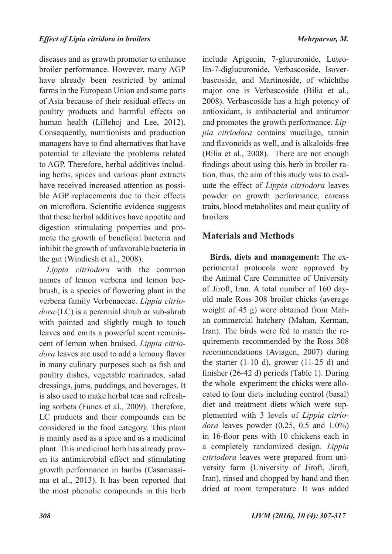diseases and as growth promoter to enhance broiler performance. However, many AGP have already been restricted by animal farms in the European Union and some parts of Asia because of their residual effects on poultry products and harmful effects on human health (Lillehoj and Lee, 2012). Consequently, nutritionists and production managers have to find alternatives that have potential to alleviate the problems related to AGP. Therefore, herbal additives including herbs, spices and various plant extracts have received increased attention as possible AGP replacements due to their effects on microflora. Scientific evidence suggests that these herbal additives have appetite and digestion stimulating properties and promote the growth of beneficial bacteria and inhibit the growth of unfavorable bacteria in the gut (Windicsh et al., 2008).

*Lippia citriodora* with the common names of lemon verbena and lemon beebrush, is a species of flowering plant in the verbena family Verbenaceae. *Lippia citriodora* (LC) is a perennial shrub or sub-shrub with pointed and slightly rough to touch leaves and emits a powerful scent reminiscent of lemon when bruised. *Lippia citriodora* leaves are used to add a lemony flavor in many culinary purposes such as fish and poultry dishes, vegetable marinades, salad dressings, jams, puddings, and beverages. It is also used to make herbal teas and refreshing sorbets (Funes et al., 2009). Therefore, LC products and their compounds can be considered in the food category. This plant is mainly used as a spice and as a medicinal plant. This medicinal herb has already proven its antimicrobial effect and stimulating growth performance in lambs (Casamassima et al., 2013). It has been reported that the most phenolic compounds in this herb

include Apigenin, 7-glucuronide, Luteolin-7-diglucuronide, Verbascoside, Isoverbascoside, and Martinoside, of whichthe major one is Verbascoside (Bilia et al., 2008). Verbascoside has a high potency of antioxidant, is antibacterial and antitumor and promotes the growth performance. *Lippia citriodora* contains mucilage, tannin and flavonoids as well, and is alkaloids-free (Bilia et al., 2008). There are not enough findings about using this herb in broiler ration, thus, the aim of this study was to evaluate the effect of *Lippia citriodora* leaves powder on growth performance, carcass traits, blood metabolites and meat quality of broilers.

# **Materials and Methods**

**Birds, diets and management:** The experimental protocols were approved by the Animal Care Committee of University of Jiroft, Iran. A total number of 160 dayold male Ross 308 broiler chicks (average weight of 45 g) were obtained from Mahan commercial hatchery (Mahan, Kerman, Iran). The birds were fed to match the requirements recommended by the Ross 308 recommendations (Aviagen, 2007) during the starter  $(1-10 d)$ , grower  $(11-25 d)$  and finisher (26-42 d) periods (Table 1). During the whole experiment the chicks were allocated to four diets including control (basal) diet and treatment diets which were supplemented with 3 levels of *Lippia citriodora* leaves powder (0.25, 0.5 and 1.0%) in 16-floor pens with 10 chickens each in a completely randomized design. *Lippia citriodora* leaves were prepared from university farm (University of Jiroft, Jiroft, Iran), rinsed and chopped by hand and then dried at room temperature. It was added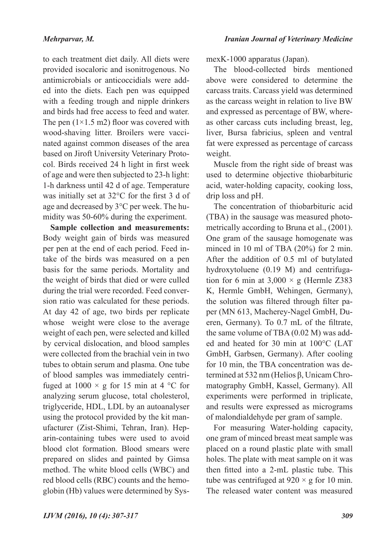to each treatment diet daily. All diets were provided isocaloric and isonitrogenous. No antimicrobials or anticoccidials were added into the diets. Each pen was equipped with a feeding trough and nipple drinkers and birds had free access to feed and water. The pen  $(1\times1.5 \text{ m2})$  floor was covered with wood-shaving litter. Broilers were vaccinated against common diseases of the area based on Jiroft University Veterinary Protocol. Birds received 24 h light in first week of age and were then subjected to 23-h light: 1-h darkness until 42 d of age. Temperature was initially set at 32°C for the first 3 d of age and decreased by 3°C per week. The humidity was 50-60% during the experiment.

**Sample collection and measurements:**  Body weight gain of birds was measured per pen at the end of each period. Feed intake of the birds was measured on a pen basis for the same periods. Mortality and the weight of birds that died or were culled during the trial were recorded. Feed conversion ratio was calculated for these periods. At day 42 of age, two birds per replicate whose weight were close to the average weight of each pen, were selected and killed by cervical dislocation, and blood samples were collected from the brachial vein in two tubes to obtain serum and plasma. One tube of blood samples was immediately centrifuged at  $1000 \times g$  for 15 min at 4 °C for analyzing serum glucose, total cholesterol, triglyceride, HDL, LDL by an autoanalyser using the protocol provided by the kit manufacturer (Zist-Shimi, Tehran, Iran). Heparin-containing tubes were used to avoid blood clot formation. Blood smears were prepared on slides and painted by Gimsa method. The white blood cells (WBC) and red blood cells (RBC) counts and the hemoglobin (Hb) values were determined by Sys-

*IJVM (2016), 10 (4): 309 307-317*

mexK-1000 apparatus (Japan).

The blood-collected birds mentioned above were considered to determine the carcass traits. Carcass yield was determined as the carcass weight in relation to live BW and expressed as percentage of BW, whereas other carcass cuts including breast, leg, liver, Bursa fabricius, spleen and ventral fat were expressed as percentage of carcass weight.

Muscle from the right side of breast was used to determine objective thiobarbituric acid, water-holding capacity, cooking loss, drip loss and pH.

The concentration of thiobarbituric acid (TBA) in the sausage was measured photometrically according to Bruna et al., (2001). One gram of the sausage homogenate was minced in 10 ml of TBA (20%) for 2 min. After the addition of 0.5 ml of butylated hydroxytoluene (0.19 M) and centrifugation for 6 min at  $3,000 \times g$  (Hermle Z383) K, Hermle GmbH, Wehingen, Germany), the solution was filtered through filter paper (MN 613, Macherey-Nagel GmbH, Dueren, Germany). To 0.7 mL of the filtrate, the same volume of TBA (0.02 M) was added and heated for 30 min at 100°C (LAT GmbH, Garbsen, Germany). After cooling for 10 min, the TBA concentration was determined at 532 nm (Helios β, Unicam Chromatography GmbH, Kassel, Germany). All experiments were performed in triplicate, and results were expressed as micrograms of malondialdehyde per gram of sample.

For measuring Water-holding capacity, one gram of minced breast meat sample was placed on a round plastic plate with small holes. The plate with meat sample on it was then fitted into a 2-mL plastic tube. This tube was centrifuged at  $920 \times g$  for 10 min. The released water content was measured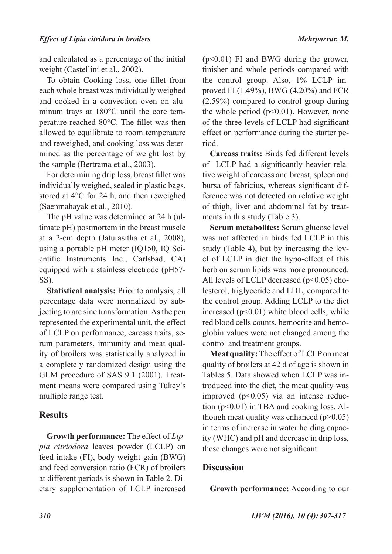and calculated as a percentage of the initial weight (Castellini et al., 2002).

To obtain Cooking loss, one fillet from each whole breast was individually weighed and cooked in a convection oven on aluminum trays at 180°C until the core temperature reached 80°C. The fillet was then allowed to equilibrate to room temperature and reweighed, and cooking loss was determined as the percentage of weight lost by the sample (Bertrama et al., 2003).

For determining drip loss, breast fillet was individually weighed, sealed in plastic bags, stored at 4°C for 24 h, and then reweighed (Saenmahayak et al., 2010).

The pH value was determined at 24 h (ultimate pH) postmortem in the breast muscle at a 2-cm depth (Jaturasitha et al., 2008), using a portable pH meter (IQ150, IQ Scientific Instruments Inc., Carlsbad, CA) equipped with a stainless electrode (pH57- SS).

**Statistical analysis:** Prior to analysis, all percentage data were normalized by subjecting to arc sine transformation. As the pen represented the experimental unit, the effect of LCLP on performance, carcass traits, serum parameters, immunity and meat quality of broilers was statistically analyzed in a completely randomized design using the GLM procedure of SAS 9.1 (2001). Treatment means were compared using Tukey's multiple range test.

# **Results**

**Growth performance:** The effect of *Lippia citriodora* leaves powder (LCLP) on feed intake (FI), body weight gain (BWG) and feed conversion ratio (FCR) of broilers at different periods is shown in Table 2. Dietary supplementation of LCLP increased

(p<0.01) FI and BWG during the grower, finisher and whole periods compared with the control group. Also, 1% LCLP improved FI (1.49%), BWG (4.20%) and FCR (2.59%) compared to control group during the whole period  $(p<0.01)$ . However, none of the three levels of LCLP had significant effect on performance during the starter period.

**Carcass traits:** Birds fed different levels of LCLP had a significantly heavier relative weight of carcass and breast, spleen and bursa of fabricius, whereas significant difference was not detected on relative weight of thigh, liver and abdominal fat by treatments in this study (Table 3).

**Serum metabolites:** Serum glucose level was not affected in birds fed LCLP in this study (Table 4), but by increasing the level of LCLP in diet the hypo-effect of this herb on serum lipids was more pronounced. All levels of LCLP decreased  $(p<0.05)$  cholesterol, triglyceride and LDL, compared to the control group. Adding LCLP to the diet increased  $(p<0.01)$  white blood cells, while red blood cells counts, hemocrite and hemoglobin values were not changed among the control and treatment groups.

**Meat quality:** The effect of LCLP on meat quality of broilers at 42 d of age is shown in Tables 5. Data showed when LCLP was introduced into the diet, the meat quality was improved  $(p<0.05)$  via an intense reduction  $(p<0.01)$  in TBA and cooking loss. Although meat quality was enhanced  $(p>0.05)$ in terms of increase in water holding capacity (WHC) and pH and decrease in drip loss, these changes were not significant.

# **Discussion**

**Growth performance:** According to our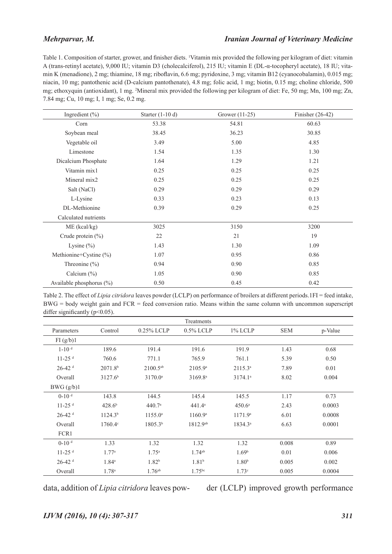#### *Mehrparvar, M.*

Table 1. Composition of starter, grower, and finisher diets. <sup>1</sup> Vitamin mix provided the following per kilogram of diet: vitamin A (trans-retinyl acetate), 9,000 IU; vitamin D3 (cholecalciferol), 215 IU; vitamin E (DL-α-tocopheryl acetate), 18 IU; vitamin K (menadione), 2 mg; thiamine, 18 mg; riboflavin, 6.6 mg; pyridoxine, 3 mg; vitamin B12 (cyanocobalamin), 0.015 mg; niacin, 10 mg; pantothenic acid (D-calcium pantothenate), 4.8 mg; folic acid, 1 mg; biotin, 0.15 mg; choline chloride, 500 mg; ethoxyquin (antioxidant), 1 mg. 2 Mineral mix provided the following per kilogram of diet: Fe, 50 mg; Mn, 100 mg; Zn, 7.84 mg; Cu, 10 mg; I, 1 mg; Se, 0.2 mg.

| Ingredient $(\% )$           | Starter $(1-10 d)$ | Grower (11-25) | Finisher $(26-42)$ |
|------------------------------|--------------------|----------------|--------------------|
| Corn                         | 53.38              | 54.81          | 60.63              |
| Soybean meal                 | 38.45              | 36.23          | 30.85              |
| Vegetable oil                | 3.49               | 5.00           | 4.85               |
| Limestone                    | 1.54               | 1.35           | 1.30               |
| Dicalcium Phosphate          | 1.64               | 1.29           | 1.21               |
| Vitamin mix1                 | 0.25               | 0.25           | 0.25               |
| Mineral mix2                 | 0.25               | 0.25           | 0.25               |
| Salt (NaCl)                  | 0.29               | 0.29           | 0.29               |
| L-Lysine                     | 0.33               | 0.23           | 0.13               |
| DL-Methionine                | 0.39               | 0.29           | 0.25               |
| Calculated nutrients         |                    |                |                    |
| $ME$ (kcal/kg)               | 3025               | 3150           | 3200               |
| Crude protein $(\% )$        | 22                 | 21             | 19                 |
| Lysine $(\% )$               | 1.43               | 1.30           | 1.09               |
| Methionine+Cystine $(\% )$   | 1.07               | 0.95           | 0.86               |
| Threonine $(\% )$            | 0.94               | 0.90           | 0.85               |
| Calcium $(\% )$              | 1.05               | 0.90           | 0.85               |
| Available phosphorus $(\% )$ | 0.50               | 0.45           | 0.42               |

Table 2. The effect of *Lipia citridora* leaves powder (LCLP) on performance of broilers at different periods.1FI = feed intake, BWG = body weight gain and FCR = feed conversion ratio. Means within the same column with uncommon superscript differ significantly ( $p<0.05$ ).

|                      |                     |                     | Treatments          |                     |            |         |
|----------------------|---------------------|---------------------|---------------------|---------------------|------------|---------|
| Parameters           | Control             | $0.25\%$ LCLP       | $0.5\%$ LCLP        | 1% LCLP             | <b>SEM</b> | p-Value |
| FI(g/b)1             |                     |                     |                     |                     |            |         |
| $1 - 10d$            | 189.6               | 191.4               | 191.6               | 191.9               | 1.43       | 0.68    |
| $11-25$ <sup>d</sup> | 760.6               | 771.1               | 765.9               | 761.1               | 5.39       | 0.50    |
| $26-42$ <sup>d</sup> | 2071.8 <sup>b</sup> | $2100.5^{ab}$       | 2105.9 <sup>a</sup> | $2115.3^a$          | 7.89       | 0.01    |
| Overall              | 3127.6 <sup>b</sup> | 3170.0 <sup>a</sup> | 3169.8 <sup>a</sup> | 3174.1 <sup>a</sup> | 8.02       | 0.004   |
| BWG(g/b)1            |                     |                     |                     |                     |            |         |
| $0-10d$              | 143.8               | 144.5               | 145.4               | 145.5               | 1.17       | 0.73    |
| $11-25$ <sup>d</sup> | 428.6 <sup>b</sup>  | 440.7 <sup>a</sup>  | $441.4^a$           | 450.6 <sup>a</sup>  | 2.43       | 0.0003  |
| $26-42$ <sup>d</sup> | 1124.3 <sup>b</sup> | $1155.0^{\circ}$    | 1160.9 <sup>a</sup> | 1171.9 <sup>a</sup> | 6.01       | 0.0008  |
| Overall              | $1760.4^{\circ}$    | 1805.3 <sup>b</sup> | 1812.9ab            | $1834.3^{\circ}$    | 6.63       | 0.0001  |
| FCR1                 |                     |                     |                     |                     |            |         |
| $0-10d$              | 1.33                | 1.32                | 1.32                | 1.32                | 0.008      | 0.89    |
| $11-25$ <sup>d</sup> | 1.77 <sup>a</sup>   | $1.75^{\rm a}$      | $1.74^{ab}$         | 1.69 <sup>b</sup>   | 0.01       | 0.006   |
| $26-42$ <sup>d</sup> | $1.84^{\circ}$      | 1.82 <sup>b</sup>   | 1.81 <sup>b</sup>   | 1.80 <sup>b</sup>   | 0.005      | 0.002   |
| Overall              | 1.78 <sup>a</sup>   | $1.76^{ab}$         | $1.75^{bc}$         | 1.73 <sup>c</sup>   | 0.005      | 0.0004  |

data, addition of *Lipia citridora* leaves pow- der (LCLP) improved growth performance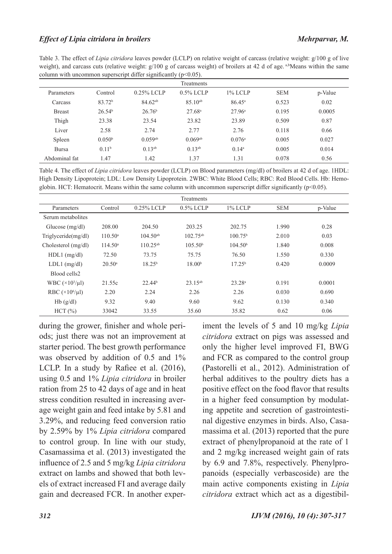### *Effect of Lipia citridora in broilers Mehrparvar, M.*

Table 3. The effect of *Lipia citridora* leaves powder (LCLP) on relative weight of carcass (relative weight: g/100 g of live weight), and carcass cuts (relative weight:  $g/100 g$  of carcass weight) of broilers at 42 d of age. a,bMeans within the same column with uncommon superscript differ significantly  $(p<0.05)$ .

|               |                    |                    | Treatments         |                    |            |         |
|---------------|--------------------|--------------------|--------------------|--------------------|------------|---------|
| Parameters    | Control            | $0.25\%$ LCLP      | $0.5\%$ LCLP       | 1% LCLP            | <b>SEM</b> | p-Value |
| Carcass       | 83.72 <sup>b</sup> | $84.62^{ab}$       | $85.10^{ab}$       | $86.45^{\circ}$    | 0.523      | 0.02    |
| <b>Breast</b> | 26.54 <sup>b</sup> | 26.76 <sup>b</sup> | 27.68 <sup>a</sup> | 27.96 <sup>a</sup> | 0.195      | 0.0005  |
| Thigh         | 23.38              | 23.54              | 23.82              | 23.89              | 0.509      | 0.87    |
| Liver         | 2.58               | 2.74               | 2.77               | 2.76               | 0.118      | 0.66    |
| Spleen        | 0.050 <sup>b</sup> | $0.059a^{b}$       | 0.069a             | 0.076a             | 0.005      | 0.027   |
| Bursa         | 0.11 <sup>b</sup>  | $0.13^{ab}$        | $0.13^{ab}$        | $0.14^{\rm a}$     | 0.005      | 0.014   |
| Abdominal fat | 1.47               | 1.42               | 1.37               | 1.31               | 0.078      | 0.56    |

Table 4. The effect of *Lipia citridora* leaves powder (LCLP) on Blood parameters (mg/dl) of broilers at 42 d of age. 1HDL: High Density Lipoprotein; LDL: Low Density Lipoprotein. 2WBC: White Blood Cells; RBC: Red Blood Cells. Hb: Hemoglobin. HCT: Hematocrit. Means within the same column with uncommon superscript differ significantly  $(p<0.05)$ .

|                           |                     |                    | Treatments          |                     |            |         |
|---------------------------|---------------------|--------------------|---------------------|---------------------|------------|---------|
| Parameters                | Control             | $0.25\%$ LCLP      | $0.5\%$ LCLP        | $1\%$ LCLP          | <b>SEM</b> | p-Value |
| Serum metabolites         |                     |                    |                     |                     |            |         |
| Glucose $(mg/dl)$         | 208.00              | 204.50             | 203.25              | 202.75              | 1.990      | 0.28    |
| $Tright$ (mg/dl)          | $110.50^{\circ}$    | $104.50^{ab}$      | $102.75^{ab}$       | $100.75^{\rm b}$    | 2.010      | 0.03    |
| Cholesterol (mg/dl)       | 114.50 <sup>a</sup> | $110.25^{ab}$      | 105.50 <sup>b</sup> | 104.50 <sup>b</sup> | 1.840      | 0.008   |
| $HDL1$ (mg/dl)            | 72.50               | 73.75              | 75.75               | 76.50               | 1.550      | 0.330   |
| $LDL1$ (mg/dl)            | $20.50^{\circ}$     | $18.25^{b}$        | 18.00 <sup>b</sup>  | $17.25^{b}$         | 0.420      | 0.0009  |
| Blood cells2              |                     |                    |                     |                     |            |         |
| WBC $(\times 10^3/\mu l)$ | 21.55c              | 22.44 <sup>b</sup> | $23.15^{ab}$        | 23.28 <sup>a</sup>  | 0.191      | 0.0001  |
| RBC $(\times 10^6/\mu l)$ | 2.20                | 2.24               | 2.26                | 2.26                | 0.030      | 0.690   |
| Hb(g/dl)                  | 9.32                | 9.40               | 9.60                | 9.62                | 0.130      | 0.340   |
| HCT(%)                    | 33042               | 33.55              | 35.60               | 35.82               | 0.62       | 0.06    |

during the grower, finisher and whole periods; just there was not an improvement at starter period. The best growth performance was observed by addition of 0.5 and 1% LCLP. In a study by Rafiee et al. (2016), using 0.5 and 1% *Lipia citridora* in broiler ration from 25 to 42 days of age and in heat stress condition resulted in increasing average weight gain and feed intake by 5.81 and 3.29%, and reducing feed conversion ratio by 2.59% by 1% *Lipia citridora* compared to control group. In line with our study, Casamassima et al. (2013) investigated the influence of 2.5 and 5 mg/kg *Lipia citridora* extract on lambs and showed that both levels of extract increased FI and average daily gain and decreased FCR. In another experiment the levels of 5 and 10 mg/kg *Lipia citridora* extract on pigs was assessed and only the higher level improved FI, BWG and FCR as compared to the control group (Pastorelli et al., 2012). Administration of herbal additives to the poultry diets has a positive effect on the food flavor that results in a higher feed consumption by modulating appetite and secretion of gastrointestinal digestive enzymes in birds. Also, Casamassima et al. (2013) reported that the pure extract of phenylpropanoid at the rate of 1 and 2 mg/kg increased weight gain of rats by 6.9 and 7.8%, respectively. Phenylpropanoids (especially verbascoside) are the main active components existing in *Lipia citridora* extract which act as a digestibil-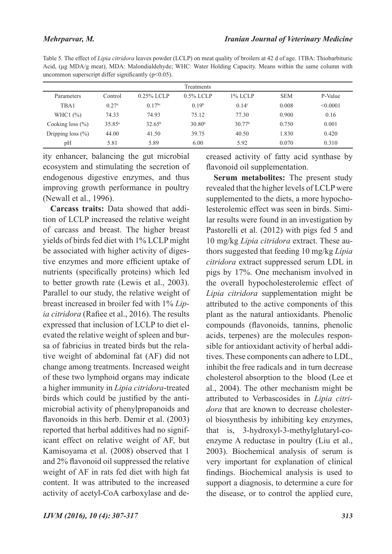#### *Mehrparvar, M.*

Table 5. The effect of *Lipia citridora* leaves powder (LCLP) on meat quality of broilers at 42 d of age. 1TBA: Thiobarbituric Acid, (μg MDA/g meat), MDA: Malondialdehyde; WHC: Water Holding Capacity. Means within the same column with uncommon superscript differ significantly  $(p<0.05)$ .

|                       |                   |                 | Treatments         |                    |            |          |
|-----------------------|-------------------|-----------------|--------------------|--------------------|------------|----------|
| Parameters            | Control           | $0.25\%$ LCLP   | $0.5\%$ LCLP       | $1\%$ LCLP         | <b>SEM</b> | P-Value  |
| TBA1                  | 0.27 <sup>a</sup> | $0.17^{bc}$     | 0.19 <sup>b</sup>  | 0.14c              | 0.008      | < 0.0001 |
| WHC1 $(\%)$           | 74.33             | 74.93           | 75.12              | 77.30              | 0.900      | 0.16     |
| Cooking loss $(\% )$  | $35.85^{\circ}$   | $32.65^{\rm b}$ | 30.80 <sup>b</sup> | 30.77 <sup>b</sup> | 0.750      | 0.001    |
| Dripping loss $(\% )$ | 44.00             | 41.50           | 39.75              | 40.50              | 1.830      | 0.420    |
| pH                    | 5.81              | 5.89            | 6.00               | 5.92               | 0.070      | 0.310    |

ity enhancer, balancing the gut microbial ecosystem and stimulating the secretion of endogenous digestive enzymes, and thus improving growth performance in poultry (Newall et al., 1996).

**Carcass traits:** Data showed that addition of LCLP increased the relative weight of carcass and breast. The higher breast yields of birds fed diet with 1% LCLP might be associated with higher activity of digestive enzymes and more efficient uptake of nutrients (specifically proteins) which led to better growth rate (Lewis et al., 2003). Parallel to our study, the relative weight of breast increased in broiler fed with 1% *Lipia citridora* (Rafiee et al., 2016). The results expressed that inclusion of LCLP to diet elevated the relative weight of spleen and bursa of fabricius in treated birds but the relative weight of abdominal fat (AF) did not change among treatments. Increased weight of these two lymphoid organs may indicate a higher immunity in *Lipia citridora*-treated birds which could be justified by the antimicrobial activity of phenylpropanoids and flavonoids in this herb. Demir et al.  $(2003)$ reported that herbal additives had no significant effect on relative weight of AF, but Kamisoyama et al. (2008) observed that 1 and 2% flavonoid oil suppressed the relative weight of AF in rats fed diet with high fat content. It was attributed to the increased activity of acetyl-CoA carboxylase and decreased activity of fatty acid synthase by flavonoid oil supplementation.

**Serum metabolites:** The present study revealed that the higher levels of LCLP were supplemented to the diets, a more hypocholesterolemic effect was seen in birds. Similar results were found in an investigation by Pastorelli et al. (2012) with pigs fed 5 and 10 mg/kg *Lipia citridora* extract. These authors suggested that feeding 10 mg/kg *Lipia citridora* extract suppressed serum LDL in pigs by 17%. One mechanism involved in the overall hypocholesterolemic effect of *Lipia citridora* supplementation might be attributed to the active components of this plant as the natural antioxidants. Phenolic compounds (flavonoids, tannins, phenolic acids, terpenes) are the molecules responsible for antioxidant activity of herbal additives. These components can adhere to LDL, inhibit the free radicals and in turn decrease cholesterol absorption to the blood (Lee et al., 2004). The other mechanism might be attributed to Verbascosides in *Lipia citridora* that are known to decrease cholesterol biosynthesis by inhibiting key enzymes, that is, 3-hydroxyl-3-methylglutaryl-coenzyme A reductase in poultry (Liu et al., 2003). Biochemical analysis of serum is very important for explanation of clinical findings. Biochemical analysis is used to support a diagnosis, to determine a cure for the disease, or to control the applied cure,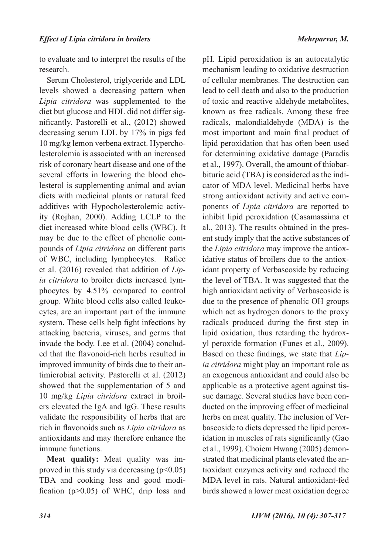to evaluate and to interpret the results of the research.

Serum Cholesterol, triglyceride and LDL levels showed a decreasing pattern when *Lipia citridora* was supplemented to the diet but glucose and HDL did not differ significantly. Pastorelli et al., (2012) showed decreasing serum LDL by 17% in pigs fed 10 mg/kg lemon verbena extract. Hypercholesterolemia is associated with an increased risk of coronary heart disease and one of the several efforts in lowering the blood cholesterol is supplementing animal and avian diets with medicinal plants or natural feed additives with Hypocholesterolemic activity (Rojhan, 2000). Adding LCLP to the diet increased white blood cells (WBC). It may be due to the effect of phenolic compounds of *Lipia citridora* on different parts of WBC, including lymphocytes. Rafiee et al. (2016) revealed that addition of *Lipia citridora* to broiler diets increased lymphocytes by 4.51% compared to control group. White blood cells also called leukocytes, are an important part of the immune system. These cells help fight infections by attacking bacteria, viruses, and germs that invade the body. Lee et al. (2004) concluded that the flavonoid-rich herbs resulted in improved immunity of birds due to their antimicrobial activity. Pastorelli et al. (2012) showed that the supplementation of 5 and 10 mg/kg *Lipia citridora* extract in broilers elevated the IgA and IgG. These results validate the responsibility of herbs that are rich in flavonoids such as *Lipia citridora* as antioxidants and may therefore enhance the immune functions.

**Meat quality:** Meat quality was improved in this study via decreasing  $(p<0.05)$ TBA and cooking loss and good modification (p>0.05) of WHC, drip loss and

pH. Lipid peroxidation is an autocatalytic mechanism leading to oxidative destruction of cellular membranes. The destruction can lead to cell death and also to the production of toxic and reactive aldehyde metabolites, known as free radicals. Among these free radicals, malondialdehyde (MDA) is the most important and main final product of lipid peroxidation that has often been used for determining oxidative damage (Paradis et al., 1997). Overall, the amount of thiobarbituric acid (TBA) is considered as the indicator of MDA level. Medicinal herbs have strong antioxidant activity and active components of *Lipia citridora* are reported to inhibit lipid peroxidation (Casamassima et al., 2013). The results obtained in the present study imply that the active substances of the *Lipia citridora* may improve the antioxidative status of broilers due to the antioxidant property of Verbascoside by reducing the level of TBA. It was suggested that the high antioxidant activity of Verbascoside is due to the presence of phenolic OH groups which act as hydrogen donors to the proxy radicals produced during the first step in lipid oxidation, thus retarding the hydroxyl peroxide formation (Funes et al., 2009). Based on these findings, we state that *Lipia citridora* might play an important role as an exogenous antioxidant and could also be applicable as a protective agent against tissue damage. Several studies have been conducted on the improving effect of medicinal herbs on meat quality. The inclusion of Verbascoside to diets depressed the lipid peroxidation in muscles of rats significantly (Gao et al., 1999). Choiem Hwang (2005) demonstrated that medicinal plants elevated the antioxidant enzymes activity and reduced the MDA level in rats. Natural antioxidant-fed birds showed a lower meat oxidation degree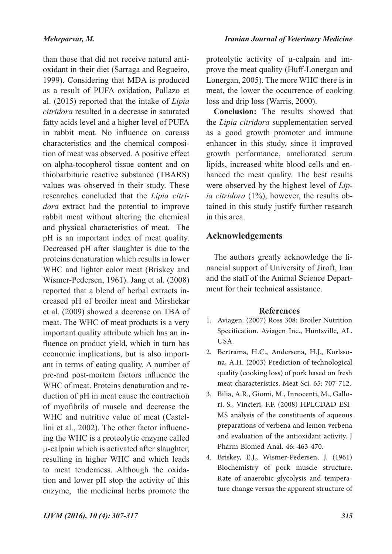than those that did not receive natural antioxidant in their diet (Sarraga and Regueiro, 1999). Considering that MDA is produced as a result of PUFA oxidation, Pallazo et al. (2015) reported that the intake of *Lipia citridora* resulted in a decrease in saturated fatty acids level and a higher level of PUFA in rabbit meat. No influence on carcass characteristics and the chemical composition of meat was observed. A positive effect on alpha-tocopherol tissue content and on thiobarbituric reactive substance (TBARS) values was observed in their study. These researches concluded that the *Lipia citridora* extract had the potential to improve rabbit meat without altering the chemical and physical characteristics of meat. The pH is an important index of meat quality. Decreased pH after slaughter is due to the proteins denaturation which results in lower meat, the lower the occurrence of cooking loss and drip loss (Warris, 2000).

proteolytic activity of µ-calpain and improve the meat quality (Huff-Lonergan and Lonergan, 2005). The more WHC there is in

**Conclusion:** The results showed that the *Lipia citridora* supplementation served as a good growth promoter and immune enhancer in this study, since it improved growth performance, ameliorated serum lipids, increased white blood cells and enhanced the meat quality. The best results were observed by the highest level of *Lipia citridora* (1%), however, the results obtained in this study justify further research in this area.

# **Acknowledgements**

The authors greatly acknowledge the financial support of University of Jiroft, Iran and the staff of the Animal Science Department for their technical assistance.

# **References**

- Aviagen. (2007) Ross 308: Broiler Nutrition 1. Specification. Aviagen Inc., Huntsville, AL. USA.
- Bertrama, H.C., Andersena, H.J., Korlsso-2. na, A.H. (2003) Prediction of technological quality (cooking loss) of pork based on fresh meat characteristics. Meat Sci. 65: 707-712.
- Bilia, A.R., Giomi, M., Innocenti, M., Gallo-3. ri, S., Vincieri, F.F. (2008) HPLCDAD-ESI-MS analysis of the constituents of aqueous preparations of verbena and lemon verbena and evaluation of the antioxidant activity. J Pharm Biomed Anal. 46: 463-470.
- Briskey, E.J., Wismer-Pedersen, J. (1961) 4. Biochemistry of pork muscle structure. Rate of anaerobic glycolysis and temperature change versus the apparent structure of

WHC and lighter color meat (Briskey and Wismer-Pedersen, 1961). Jang et al. (2008) reported that a blend of herbal extracts increased pH of broiler meat and Mirshekar et al. (2009) showed a decrease on TBA of meat. The WHC of meat products is a very important quality attribute which has an influence on product yield, which in turn has economic implications, but is also important in terms of eating quality. A number of pre-and post-mortem factors influence the WHC of meat. Proteins denaturation and reduction of pH in meat cause the contraction of myofibrils of muscle and decrease the WHC and nutritive value of meat (Castellini et al., 2002). The other factor influencing the WHC is a proteolytic enzyme called µ-calpain which is activated after slaughter, resulting in higher WHC and which leads to meat tenderness. Although the oxidation and lower pH stop the activity of this enzyme, the medicinal herbs promote the

### *Iranian Journal of Veterinary Medicine*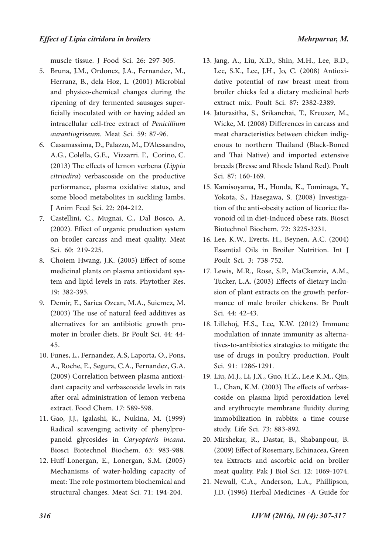muscle tissue. J Food Sci. 26: 297-305.

- Bruna, J.M., Ordonez, J.A., Fernandez, M., 5. Herranz, B., dela Hoz, L. (2001) Microbial and physico-chemical changes during the ripening of dry fermented sausages superficially inoculated with or having added an intracellular cell-free extract of *Penicillium aurantiogriseum*. Meat Sci. 59: 87-96.
- Casamassima, D., Palazzo, M., D'Alessandro, 6. A.G., Colella, G.E., Vizzarri. F., Corino, C. (2013) The effects of lemon verbena (*Lippia citriodira*) verbascoside on the productive performance, plasma oxidative status, and some blood metabolites in suckling lambs. J Anim Feed Sci. 22: 204-212.
- Castellini, C., Mugnai, C., Dal Bosco, A. 7. (2002). Effect of organic production system on broiler carcass and meat quality. Meat Sci. 60: 219-225.
- 8. Choiem Hwang, J.K. (2005) Effect of some medicinal plants on plasma antioxidant system and lipid levels in rats. Phytother Res. 19: 382-395.
- Demir, E., Sarica Ozcan, M.A., Suicmez, M. 9. (2003) The use of natural feed additives as alternatives for an antibiotic growth promoter in broiler diets. Br Poult Sci. 44: 44- 45.
- 10. Funes, L., Fernandez, A.S, Laporta, O., Pons, A., Roche, E., Segura, C.A., Fernandez, G.A. (2009) Correlation between plasma antioxidant capacity and verbascoside levels in rats after oral administration of lemon verbena extract. Food Chem. 17: 589-598.
- Gao, J.J., Igalashi, K., Nukina, M. (1999) 11. Radical scavenging activity of phenylpropanoid glycosides in *Caryopteris incana*. Biosci Biotechnol Biochem. 63: 983-988.
- Huff-Lonergan, E., Lonergan, S.M. (2005) 12. Mechanisms of water-holding capacity of meat: The role postmortem biochemical and structural changes. Meat Sci. 71: 194-204.
- Jang, A., Liu, X.D., Shin, M.H., Lee, B.D., 13. Lee, S.K., Lee, J.H., Jo, C. (2008) Antioxidative potential of raw breast meat from broiler chicks fed a dietary medicinal herb extract mix. Poult Sci. 87: 2382-2389.
- Jaturasitha, S., Srikanchai, T., Kreuzer, M., 14. Wicke, M. (2008) Differences in carcass and meat characteristics between chicken indigenous to northern Thailand (Black-Boned and Thai Native) and imported extensive breeds (Bresse and Rhode Island Red). Poult Sci. 87: 160-169.
- 15. Kamisoyama, H., Honda, K., Tominaga, Y., Yokota, S., Hasegawa, S. (2008) Investigation of the anti-obesity action of licorice flavonoid oil in diet-Induced obese rats. Biosci Biotechnol Biochem. 72: 3225-3231.
- Lee, K.W., Everts, H., Beynen, A.C. (2004) 16. Essential Oils in Broiler Nutrition. Int J Poult Sci. 3: 738-752.
- Lewis, M.R., Rose, S.P., MaCkenzie, A.M., 17. Tucker, L.A. (2003) Effects of dietary inclusion of plant extracts on the growth performance of male broiler chickens. Br Poult Sci. 44: 42-43.
- Lillehoj, H.S., Lee, K.W. (2012) Immune 18. modulation of innate immunity as alternatives-to-antibiotics strategies to mitigate the use of drugs in poultry production. Poult Sci. 91: 1286-1291.
- Liu, M.J., Li, J.X., Guo, H.Z., Le,e K.M., Qin, 19. L., Chan, K.M. (2003) The effects of verbascoside on plasma lipid peroxidation level and erythrocyte membrane fluidity during immobilization in rabbits: a time course study. Life Sci. 73: 883-892.
- Mirshekar, R., Dastar, B., Shabanpour, B. 20. (2009) Effect of Rosemary, Echinacea, Green tea Extracts and ascorbic acid on broiler meat quality. Pak J Biol Sci. 12: 1069-1074.
- 21. Newall, C.A., Anderson, L.A., Phillipson, J.D. (1996) Herbal Medicines -A Guide for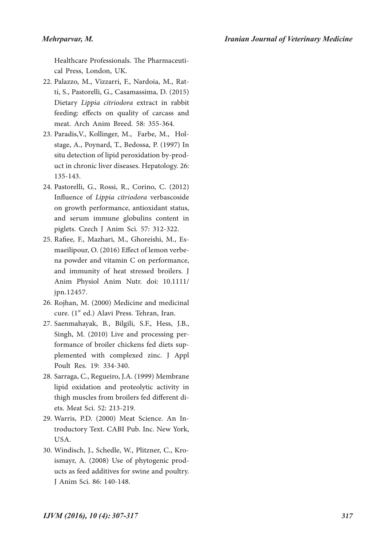Healthcare Professionals. The Pharmaceuti cal Press, London, UK.

- 22. Palazzo, M., Vizzarri, F., Nardoia, M., Ratti, S., Pastorelli, G., Casamassima, D. (2015) Dietary *Lippia citriodora* extract in rabbit feeding: effects on quality of carcass and meat. Arch Anim Breed. 58: 355-364.
- 23. Paradis, V., Kollinger, M., Farbe, M., Holstage, A., Poynard, T., Bedossa, P. (1997) In situ detection of lipid peroxidation by-prod uct in chronic liver diseases. Hepatology. 26: 135-143.
- Pastorelli, G., Rossi, R., Corino, C. (2012) 24. Influence of *Lippia citriodora* verbascoside on growth performance, antioxidant status, and serum immune globulins content in piglets. Czech J Anim Sci. 57: 312-322.
- 25. Rafiee, F., Mazhari, M., Ghoreishi, M., Esmaeilipour, O. (2016) Effect of lemon verbe na powder and vitamin C on performance, and immunity of heat stressed broilers. J Anim Physiol Anim Nutr. doi: 10.1111/ jpn.12457.
- 26. Rojhan, M. (2000) Medicine and medicinal cure. (1<sup>st</sup> ed.) Alavi Press. Tehran, Iran.
- 27. Saenmahayak, B., Bilgili, S.F., Hess, J.B., Singh, M. (2010) Live and processing per formance of broiler chickens fed diets sup plemented with complexed zinc. J Appl Poult Res. 19: 334-340.
- 28. Sarraga, C., Regueiro, J.A. (1999) Membrane lipid oxidation and proteolytic activity in thigh muscles from broilers fed different di ets. Meat Sci. 52: 213-219.
- Warris, P.D. (2000) Meat Science. An In 29. troductory Text. CABI Pub. Inc. New York, USA.
- 30. Windisch, J., Schedle, W., Plitzner, C., Kroismayr, A. (2008) Use of phytogenic prod ucts as feed additives for swine and poultry. J Anim Sci. 86: 140-148.

*IJVM (2016), 10 (4): 317 307-317*